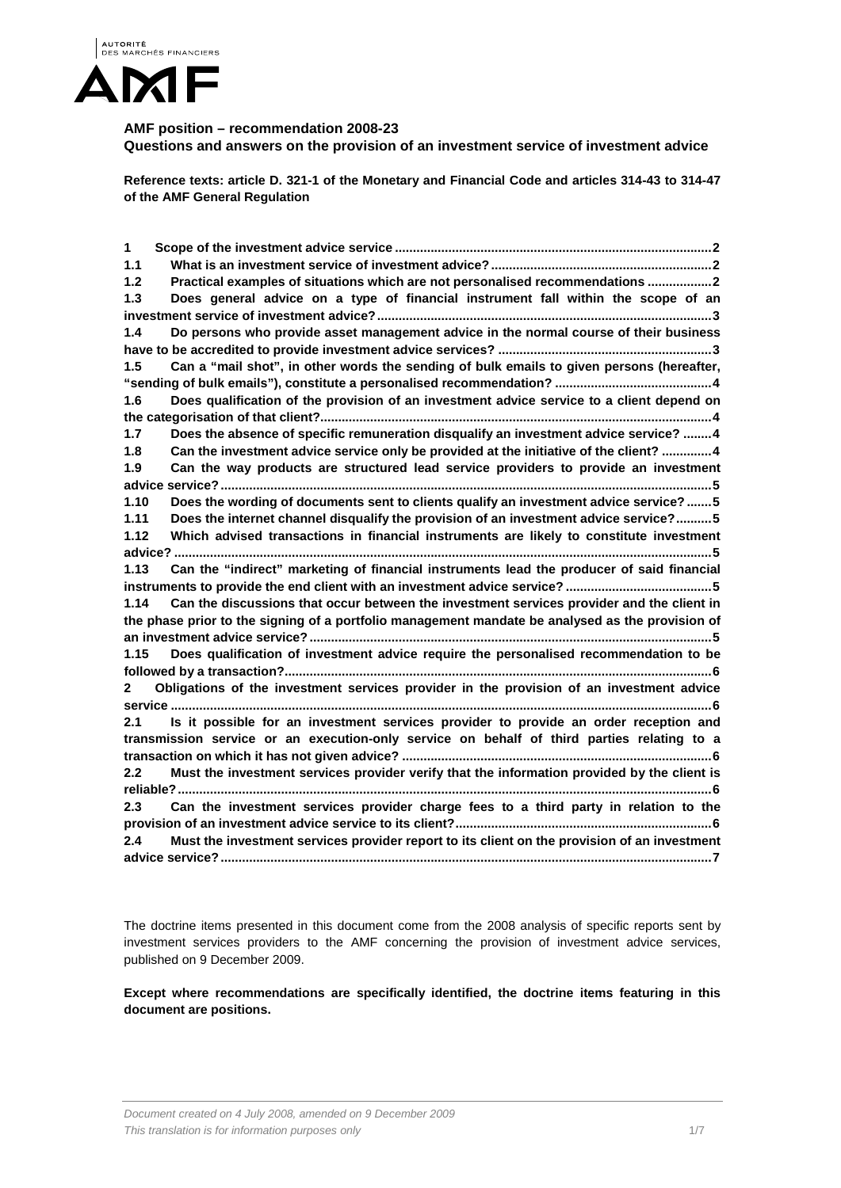

# **AMF position – recommendation 2008-23**

**Questions and answers on the provision of an investment service of investment advice** 

**Reference texts: article D. 321-1 of the Monetary and Financial Code and articles 314-43 to 314-47 of the AMF General Regulation**

| 1                                                                                                |                                                                                              |
|--------------------------------------------------------------------------------------------------|----------------------------------------------------------------------------------------------|
| $1.1$                                                                                            |                                                                                              |
| 1.2                                                                                              | Practical examples of situations which are not personalised recommendations 2                |
| 1.3                                                                                              | Does general advice on a type of financial instrument fall within the scope of an            |
|                                                                                                  |                                                                                              |
| 1.4                                                                                              | Do persons who provide asset management advice in the normal course of their business        |
|                                                                                                  |                                                                                              |
| 1.5                                                                                              | Can a "mail shot", in other words the sending of bulk emails to given persons (hereafter,    |
|                                                                                                  |                                                                                              |
| 1.6                                                                                              | Does qualification of the provision of an investment advice service to a client depend on    |
|                                                                                                  |                                                                                              |
| 1.7                                                                                              | Does the absence of specific remuneration disqualify an investment advice service? 4         |
| 1.8                                                                                              | Can the investment advice service only be provided at the initiative of the client? 4        |
| 1.9                                                                                              | Can the way products are structured lead service providers to provide an investment          |
|                                                                                                  |                                                                                              |
| 1.10                                                                                             | Does the wording of documents sent to clients qualify an investment advice service?5         |
| 1.11                                                                                             | Does the internet channel disqualify the provision of an investment advice service?5         |
| 1.12                                                                                             | Which advised transactions in financial instruments are likely to constitute investment      |
| advice?                                                                                          |                                                                                              |
| 1.13                                                                                             | Can the "indirect" marketing of financial instruments lead the producer of said financial    |
|                                                                                                  |                                                                                              |
| 1.14                                                                                             | Can the discussions that occur between the investment services provider and the client in    |
| the phase prior to the signing of a portfolio management mandate be analysed as the provision of |                                                                                              |
|                                                                                                  |                                                                                              |
| 1.15                                                                                             | Does qualification of investment advice require the personalised recommendation to be        |
|                                                                                                  |                                                                                              |
| $\mathbf{2}$                                                                                     | Obligations of the investment services provider in the provision of an investment advice     |
|                                                                                                  |                                                                                              |
| 2.1                                                                                              | Is it possible for an investment services provider to provide an order reception and         |
| transmission service or an execution-only service on behalf of third parties relating to a       |                                                                                              |
|                                                                                                  |                                                                                              |
| 2.2                                                                                              | Must the investment services provider verify that the information provided by the client is  |
|                                                                                                  |                                                                                              |
| 2.3                                                                                              | Can the investment services provider charge fees to a third party in relation to the         |
|                                                                                                  |                                                                                              |
| 2.4                                                                                              | Must the investment services provider report to its client on the provision of an investment |
|                                                                                                  |                                                                                              |

The doctrine items presented in this document come from the 2008 analysis of specific reports sent by investment services providers to the AMF concerning the provision of investment advice services, published on 9 December 2009.

**Except where recommendations are specifically identified, the doctrine items featuring in this document are positions.**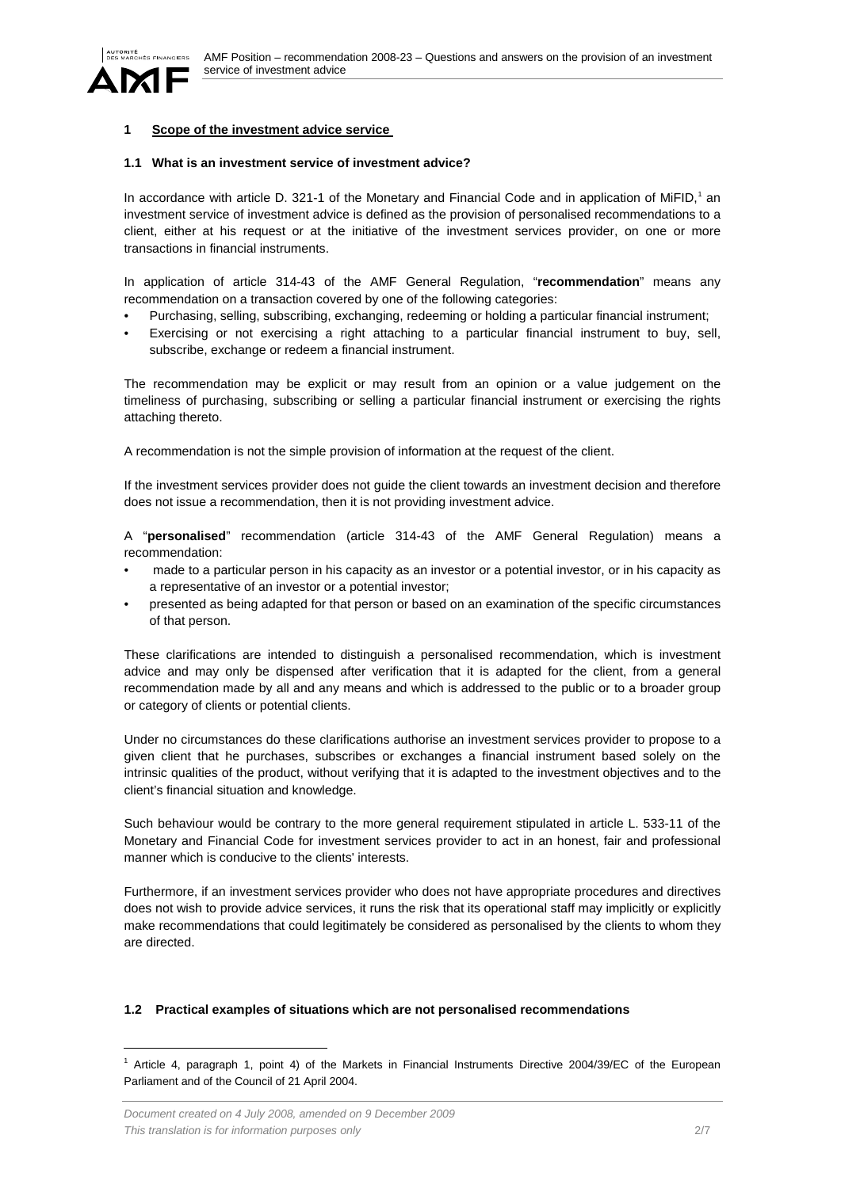



# <span id="page-1-0"></span>**1 Scope of the investment advice service**

#### <span id="page-1-1"></span>**1.1 What is an investment service of investment advice?**

In accordance with article D. 32[1](#page-1-3)-1 of the Monetary and Financial Code and in application of MiFID,<sup>1</sup> an investment service of investment advice is defined as the provision of personalised recommendations to a client, either at his request or at the initiative of the investment services provider, on one or more transactions in financial instruments.

In application of article 314-43 of the AMF General Regulation, "**recommendation**" means any recommendation on a transaction covered by one of the following categories:

- Purchasing, selling, subscribing, exchanging, redeeming or holding a particular financial instrument;
- Exercising or not exercising a right attaching to a particular financial instrument to buy, sell, subscribe, exchange or redeem a financial instrument.

The recommendation may be explicit or may result from an opinion or a value judgement on the timeliness of purchasing, subscribing or selling a particular financial instrument or exercising the rights attaching thereto.

A recommendation is not the simple provision of information at the request of the client.

If the investment services provider does not guide the client towards an investment decision and therefore does not issue a recommendation, then it is not providing investment advice.

A "**personalised**" recommendation (article 314-43 of the AMF General Regulation) means a recommendation:

- made to a particular person in his capacity as an investor or a potential investor, or in his capacity as a representative of an investor or a potential investor;
- presented as being adapted for that person or based on an examination of the specific circumstances of that person.

These clarifications are intended to distinguish a personalised recommendation, which is investment advice and may only be dispensed after verification that it is adapted for the client, from a general recommendation made by all and any means and which is addressed to the public or to a broader group or category of clients or potential clients.

Under no circumstances do these clarifications authorise an investment services provider to propose to a given client that he purchases, subscribes or exchanges a financial instrument based solely on the intrinsic qualities of the product, without verifying that it is adapted to the investment objectives and to the client's financial situation and knowledge.

Such behaviour would be contrary to the more general requirement stipulated in article L. 533-11 of the Monetary and Financial Code for investment services provider to act in an honest, fair and professional manner which is conducive to the clients' interests.

Furthermore, if an investment services provider who does not have appropriate procedures and directives does not wish to provide advice services, it runs the risk that its operational staff may implicitly or explicitly make recommendations that could legitimately be considered as personalised by the clients to whom they are directed.

## <span id="page-1-2"></span>**1.2 Practical examples of situations which are not personalised recommendations**

<span id="page-1-3"></span> <sup>1</sup> Article 4, paragraph 1, point 4) of the Markets in Financial Instruments Directive 2004/39/EC of the European Parliament and of the Council of 21 April 2004.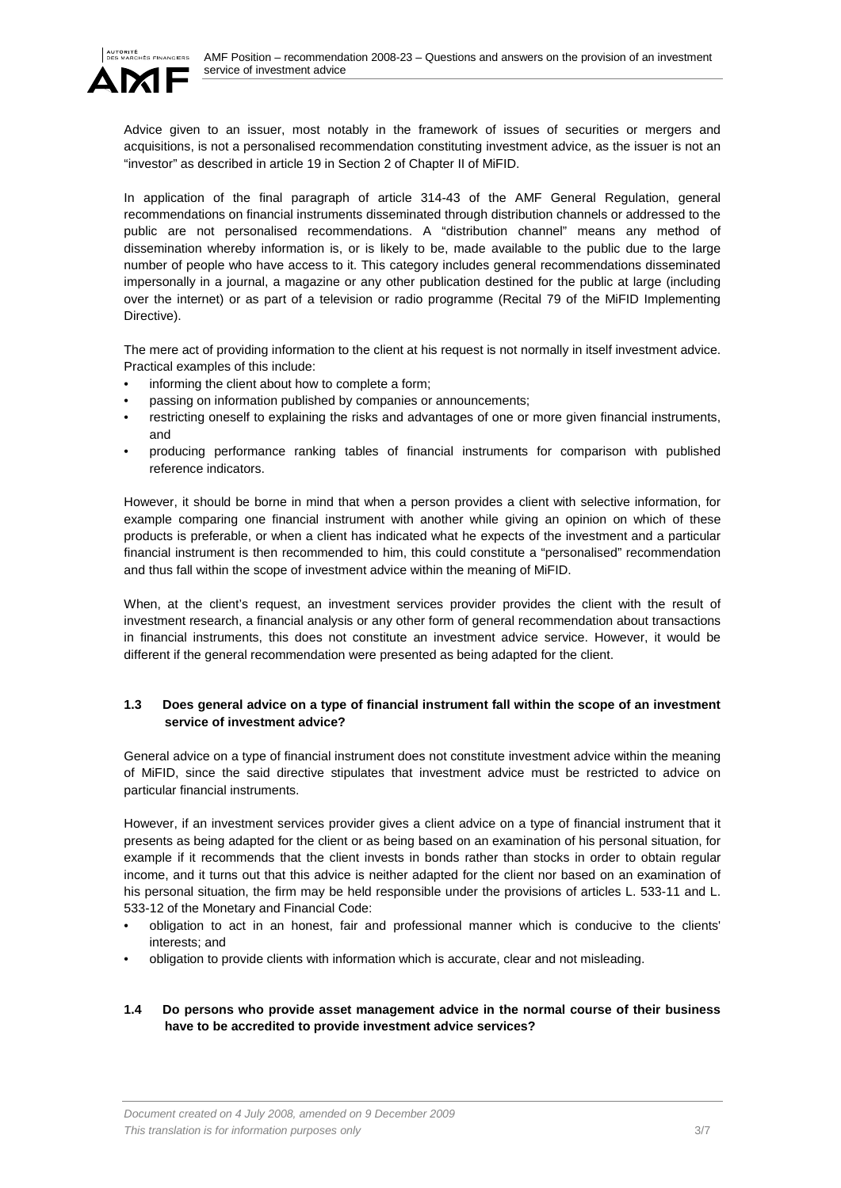

Advice given to an issuer, most notably in the framework of issues of securities or mergers and acquisitions, is not a personalised recommendation constituting investment advice, as the issuer is not an "investor" as described in article 19 in Section 2 of Chapter II of MiFID.

In application of the final paragraph of article 314-43 of the AMF General Regulation, general recommendations on financial instruments disseminated through distribution channels or addressed to the public are not personalised recommendations. A "distribution channel" means any method of dissemination whereby information is, or is likely to be, made available to the public due to the large number of people who have access to it. This category includes general recommendations disseminated impersonally in a journal, a magazine or any other publication destined for the public at large (including over the internet) or as part of a television or radio programme (Recital 79 of the MiFID Implementing Directive).

The mere act of providing information to the client at his request is not normally in itself investment advice. Practical examples of this include:

- informing the client about how to complete a form;
- passing on information published by companies or announcements;
- restricting oneself to explaining the risks and advantages of one or more given financial instruments, and
- producing performance ranking tables of financial instruments for comparison with published reference indicators.

However, it should be borne in mind that when a person provides a client with selective information, for example comparing one financial instrument with another while giving an opinion on which of these products is preferable, or when a client has indicated what he expects of the investment and a particular financial instrument is then recommended to him, this could constitute a "personalised" recommendation and thus fall within the scope of investment advice within the meaning of MiFID.

When, at the client's request, an investment services provider provides the client with the result of investment research, a financial analysis or any other form of general recommendation about transactions in financial instruments, this does not constitute an investment advice service. However, it would be different if the general recommendation were presented as being adapted for the client.

# <span id="page-2-0"></span>**1.3 Does general advice on a type of financial instrument fall within the scope of an investment service of investment advice?**

General advice on a type of financial instrument does not constitute investment advice within the meaning of MiFID, since the said directive stipulates that investment advice must be restricted to advice on particular financial instruments.

However, if an investment services provider gives a client advice on a type of financial instrument that it presents as being adapted for the client or as being based on an examination of his personal situation, for example if it recommends that the client invests in bonds rather than stocks in order to obtain regular income, and it turns out that this advice is neither adapted for the client nor based on an examination of his personal situation, the firm may be held responsible under the provisions of articles L. 533-11 and L. 533-12 of the Monetary and Financial Code:

- obligation to act in an honest, fair and professional manner which is conducive to the clients' interests; and
- obligation to provide clients with information which is accurate, clear and not misleading.

# <span id="page-2-1"></span>**1.4 Do persons who provide asset management advice in the normal course of their business have to be accredited to provide investment advice services?**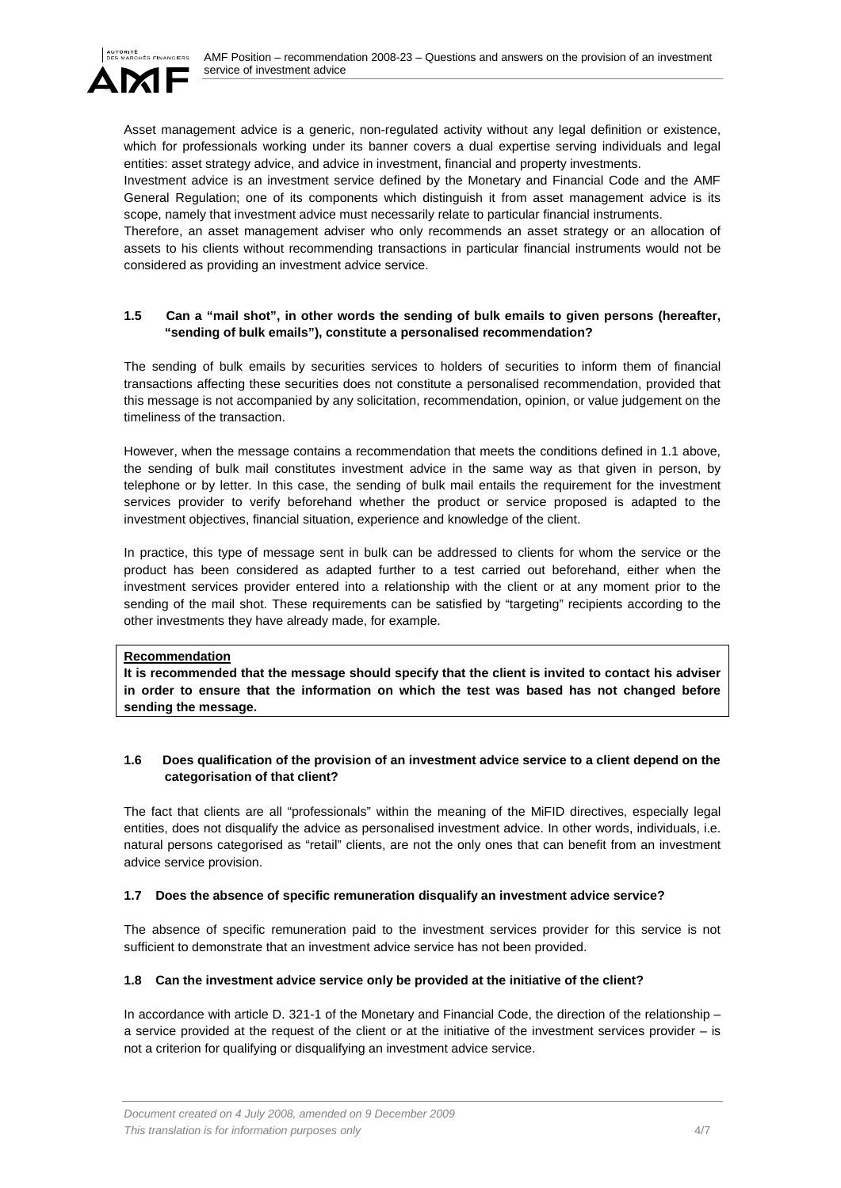

Asset management advice is a generic, non-regulated activity without any legal definition or existence, which for professionals working under its banner covers a dual expertise serving individuals and legal entities: asset strategy advice, and advice in investment, financial and property investments.

Investment advice is an investment service defined by the Monetary and Financial Code and the AMF General Regulation; one of its components which distinguish it from asset management advice is its scope, namely that investment advice must necessarily relate to particular financial instruments.

Therefore, an asset management adviser who only recommends an asset strategy or an allocation of assets to his clients without recommending transactions in particular financial instruments would not be considered as providing an investment advice service.

# <span id="page-3-0"></span>**1.5 Can a "mail shot", in other words the sending of bulk emails to given persons (hereafter, "sending of bulk emails"), constitute a personalised recommendation?**

The sending of bulk emails by securities services to holders of securities to inform them of financial transactions affecting these securities does not constitute a personalised recommendation, provided that this message is not accompanied by any solicitation, recommendation, opinion, or value judgement on the timeliness of the transaction.

However, when the message contains a recommendation that meets the conditions defined in 1.1 above, the sending of bulk mail constitutes investment advice in the same way as that given in person, by telephone or by letter. In this case, the sending of bulk mail entails the requirement for the investment services provider to verify beforehand whether the product or service proposed is adapted to the investment objectives, financial situation, experience and knowledge of the client.

In practice, this type of message sent in bulk can be addressed to clients for whom the service or the product has been considered as adapted further to a test carried out beforehand, either when the investment services provider entered into a relationship with the client or at any moment prior to the sending of the mail shot. These requirements can be satisfied by "targeting" recipients according to the other investments they have already made, for example.

## **Recommendation**

**It is recommended that the message should specify that the client is invited to contact his adviser in order to ensure that the information on which the test was based has not changed before sending the message.**

# <span id="page-3-1"></span>**1.6 Does qualification of the provision of an investment advice service to a client depend on the categorisation of that client?**

The fact that clients are all "professionals" within the meaning of the MiFID directives, especially legal entities, does not disqualify the advice as personalised investment advice. In other words, individuals, i.e. natural persons categorised as "retail" clients, are not the only ones that can benefit from an investment advice service provision.

# <span id="page-3-2"></span>**1.7 Does the absence of specific remuneration disqualify an investment advice service?**

The absence of specific remuneration paid to the investment services provider for this service is not sufficient to demonstrate that an investment advice service has not been provided.

# <span id="page-3-3"></span>**1.8 Can the investment advice service only be provided at the initiative of the client?**

In accordance with article D. 321-1 of the Monetary and Financial Code, the direction of the relationship – a service provided at the request of the client or at the initiative of the investment services provider – is not a criterion for qualifying or disqualifying an investment advice service.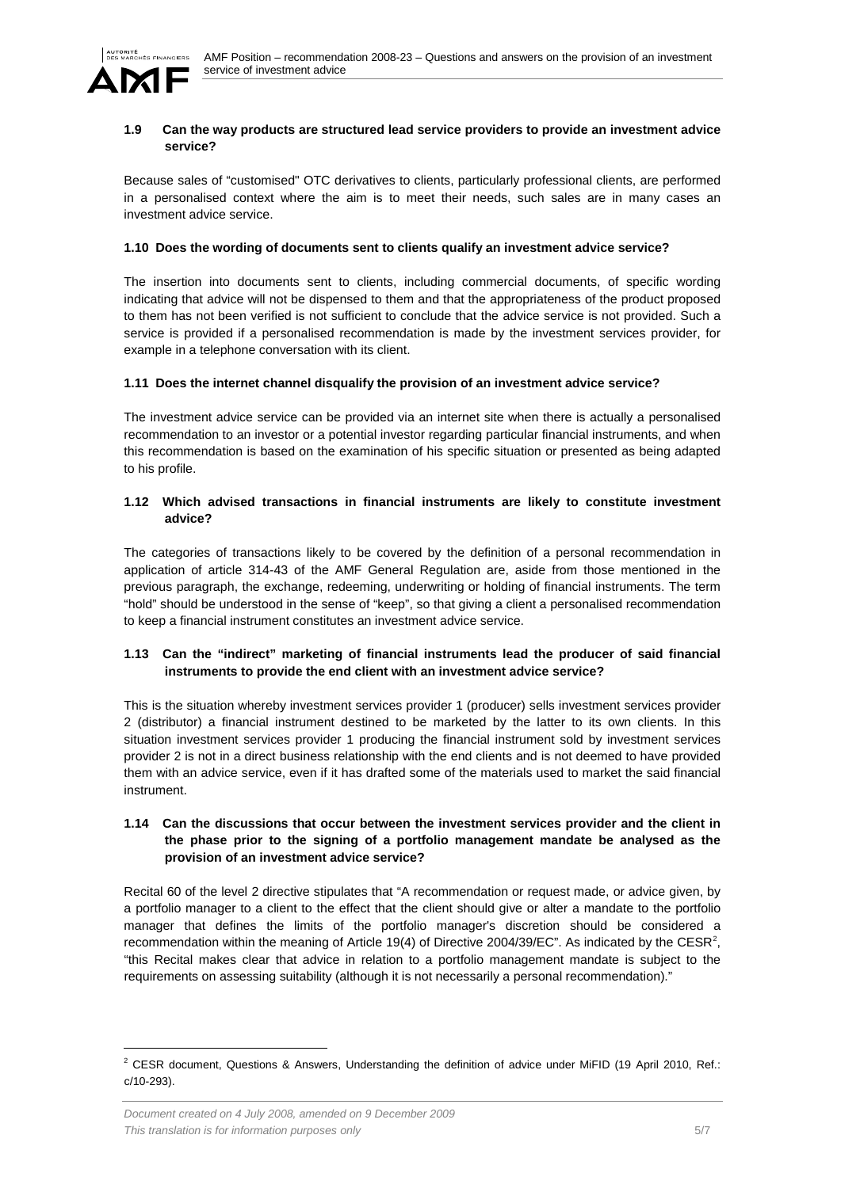

#### <span id="page-4-0"></span>**1.9 Can the way products are structured lead service providers to provide an investment advice service?**

Because sales of "customised" OTC derivatives to clients, particularly professional clients, are performed in a personalised context where the aim is to meet their needs, such sales are in many cases an investment advice service.

#### <span id="page-4-1"></span>**1.10 Does the wording of documents sent to clients qualify an investment advice service?**

The insertion into documents sent to clients, including commercial documents, of specific wording indicating that advice will not be dispensed to them and that the appropriateness of the product proposed to them has not been verified is not sufficient to conclude that the advice service is not provided. Such a service is provided if a personalised recommendation is made by the investment services provider, for example in a telephone conversation with its client.

#### <span id="page-4-2"></span>**1.11 Does the internet channel disqualify the provision of an investment advice service?**

The investment advice service can be provided via an internet site when there is actually a personalised recommendation to an investor or a potential investor regarding particular financial instruments, and when this recommendation is based on the examination of his specific situation or presented as being adapted to his profile.

## <span id="page-4-3"></span>**1.12 Which advised transactions in financial instruments are likely to constitute investment advice?**

The categories of transactions likely to be covered by the definition of a personal recommendation in application of article 314-43 of the AMF General Regulation are, aside from those mentioned in the previous paragraph, the exchange, redeeming, underwriting or holding of financial instruments. The term "hold" should be understood in the sense of "keep", so that giving a client a personalised recommendation to keep a financial instrument constitutes an investment advice service.

# <span id="page-4-4"></span>**1.13 Can the "indirect" marketing of financial instruments lead the producer of said financial instruments to provide the end client with an investment advice service?**

This is the situation whereby investment services provider 1 (producer) sells investment services provider 2 (distributor) a financial instrument destined to be marketed by the latter to its own clients. In this situation investment services provider 1 producing the financial instrument sold by investment services provider 2 is not in a direct business relationship with the end clients and is not deemed to have provided them with an advice service, even if it has drafted some of the materials used to market the said financial instrument.

# <span id="page-4-5"></span>**1.14 Can the discussions that occur between the investment services provider and the client in the phase prior to the signing of a portfolio management mandate be analysed as the provision of an investment advice service?**

Recital 60 of the level 2 directive stipulates that "A recommendation or request made, or advice given, by a portfolio manager to a client to the effect that the client should give or alter a mandate to the portfolio manager that defines the limits of the portfolio manager's discretion should be considered a recommendation within the meaning of Article 19(4) of Directive [2](#page-1-3)004/39/EC". As indicated by the CESR<sup>2</sup>, "this Recital makes clear that advice in relation to a portfolio management mandate is subject to the requirements on assessing suitability (although it is not necessarily a personal recommendation)."

<span id="page-4-6"></span><sup>&</sup>lt;sup>2</sup> CESR document, Questions & Answers, Understanding the definition of advice under MiFID (19 April 2010, Ref.: c/10-293).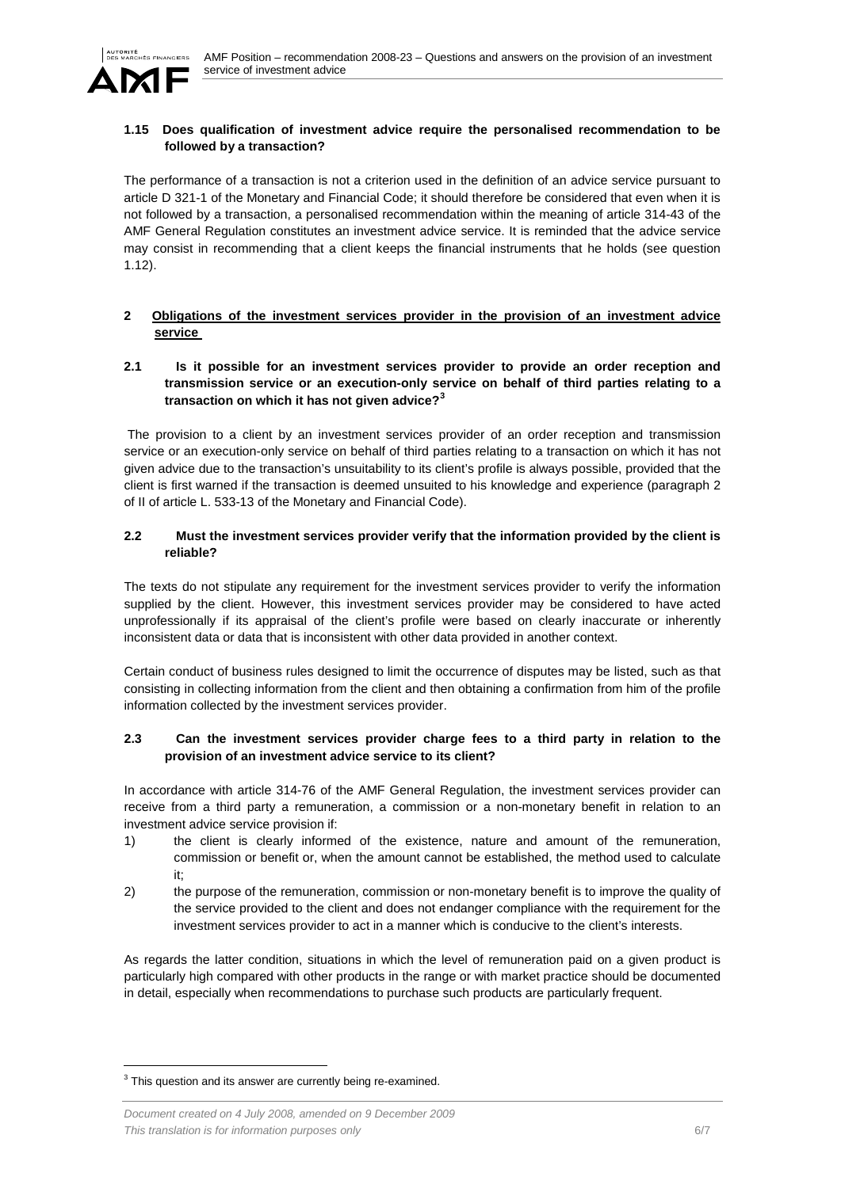

# <span id="page-5-0"></span>**1.15 Does qualification of investment advice require the personalised recommendation to be followed by a transaction?**

The performance of a transaction is not a criterion used in the definition of an advice service pursuant to article D 321-1 of the Monetary and Financial Code; it should therefore be considered that even when it is not followed by a transaction, a personalised recommendation within the meaning of article 314-43 of the AMF General Regulation constitutes an investment advice service. It is reminded that the advice service may consist in recommending that a client keeps the financial instruments that he holds (see question 1.12).

# <span id="page-5-1"></span>**2 Obligations of the investment services provider in the provision of an investment advice service**

# <span id="page-5-2"></span>**2.1 Is it possible for an investment services provider to provide an order reception and transmission service or an execution-only service on behalf of third parties relating to a transaction on which it has not given advice?[3](#page-4-6)**

The provision to a client by an investment services provider of an order reception and transmission service or an execution-only service on behalf of third parties relating to a transaction on which it has not given advice due to the transaction's unsuitability to its client's profile is always possible, provided that the client is first warned if the transaction is deemed unsuited to his knowledge and experience (paragraph 2 of II of article L. 533-13 of the Monetary and Financial Code).

# <span id="page-5-3"></span>**2.2 Must the investment services provider verify that the information provided by the client is reliable?**

The texts do not stipulate any requirement for the investment services provider to verify the information supplied by the client. However, this investment services provider may be considered to have acted unprofessionally if its appraisal of the client's profile were based on clearly inaccurate or inherently inconsistent data or data that is inconsistent with other data provided in another context.

Certain conduct of business rules designed to limit the occurrence of disputes may be listed, such as that consisting in collecting information from the client and then obtaining a confirmation from him of the profile information collected by the investment services provider.

## <span id="page-5-4"></span>**2.3 Can the investment services provider charge fees to a third party in relation to the provision of an investment advice service to its client?**

In accordance with article 314-76 of the AMF General Regulation, the investment services provider can receive from a third party a remuneration, a commission or a non-monetary benefit in relation to an investment advice service provision if:

- 1) the client is clearly informed of the existence, nature and amount of the remuneration, commission or benefit or, when the amount cannot be established, the method used to calculate it;
- 2) the purpose of the remuneration, commission or non-monetary benefit is to improve the quality of the service provided to the client and does not endanger compliance with the requirement for the investment services provider to act in a manner which is conducive to the client's interests.

As regards the latter condition, situations in which the level of remuneration paid on a given product is particularly high compared with other products in the range or with market practice should be documented in detail, especially when recommendations to purchase such products are particularly frequent.

 $3$  This question and its answer are currently being re-examined.

*Document created on 4 July 2008, amended on 9 December 2009 This translation is for information purposes only* 6/7